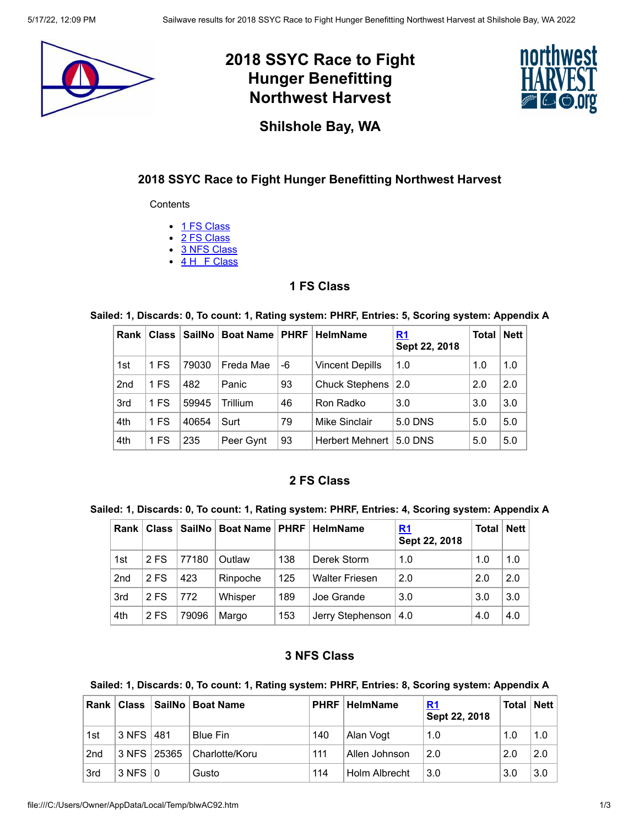

# **2018 SSYC Race to Fight Hunger Benefitting Northwest Harvest**



**Shilshole Bay, WA**

### **2018 SSYC Race to Fight Hunger Benefitting Northwest Harvest**

**Contents** 

- 1 FS [Class](#page-0-0)
- 2 FS [Class](#page-0-1)
- 3 NFS [Class](#page-0-2)
- 4 H F [Class](#page-1-0)

#### **1 FS Class**

#### <span id="page-0-0"></span>**Sailed: 1, Discards: 0, To count: 1, Rating system: PHRF, Entries: 5, Scoring system: Appendix A**

| Rank            | Class | SailNo | <b>Boat Name   PHRF  </b> |    | <b>HelmName</b>        | <u>R1</u><br>Sept 22, 2018 | <b>Total</b> | Net |
|-----------------|-------|--------|---------------------------|----|------------------------|----------------------------|--------------|-----|
| 1st             | 1 FS  | 79030  | Freda Mae                 | -6 | <b>Vincent Depills</b> | 1.0                        | 1.0          | 1.0 |
| 2 <sub>nd</sub> | 1 FS  | 482    | Panic                     | 93 | <b>Chuck Stephens</b>  | 2.0                        | 2.0          | 2.0 |
| 3rd             | 1 FS  | 59945  | Trillium                  | 46 | Ron Radko              | 3.0                        | 3.0          | 3.0 |
| 4th             | 1 FS  | 40654  | Surt                      | 79 | Mike Sinclair          | 5.0 DNS                    | 5.0          | 5.0 |
| 4th             | 1 FS  | 235    | Peer Gynt                 | 93 | Herbert Mehnert        | 5.0 DNS                    | 5.0          | 5.0 |

### **2 FS Class**

#### <span id="page-0-1"></span>**Sailed: 1, Discards: 0, To count: 1, Rating system: PHRF, Entries: 4, Scoring system: Appendix A**

| Rank            | <b>Class</b> |       | SailNo   Boat Name   PHRF   HelmName |     |                        | <u>R1</u><br>Sept 22, 2018 | <b>Total</b> | <b>Nett</b> |
|-----------------|--------------|-------|--------------------------------------|-----|------------------------|----------------------------|--------------|-------------|
| 1st             | 2 FS         | 77180 | Outlaw                               | 138 | Derek Storm            | 1.0                        | 1.0          | 1.0         |
| 2 <sub>nd</sub> | 2 FS         | 423   | Rinpoche                             | 125 | <b>Walter Friesen</b>  | 2.0                        | 2.0          | 2.0         |
| 3rd             | 2 FS         | 772   | Whisper                              | 189 | Joe Grande             | 3.0                        | 3.0          | 3.0         |
| 4th             | 2 FS         | 79096 | Margo                                | 153 | Jerry Stephenson   4.0 |                            | 4.0          | 4.0         |

#### **3 NFS Class**

#### <span id="page-0-2"></span>**Sailed: 1, Discards: 0, To count: 1, Rating system: PHRF, Entries: 8, Scoring system: Appendix A**

| Rank            | <b>Class</b>      |             | SailNo   Boat Name | <b>PHRF</b> | HelmName      | <u>R1</u><br>Sept 22, 2018 | Total | Nett |
|-----------------|-------------------|-------------|--------------------|-------------|---------------|----------------------------|-------|------|
| 1st             | 3 NFS             | 481         | <b>Blue Fin</b>    | 140         | Alan Vogt     | 1.0                        | 1.0   | 1.0  |
| 2 <sub>nd</sub> |                   | 3 NFS 25365 | Charlotte/Koru     | 111         | Allen Johnson | 2.0                        | 2.0   | 2.0  |
| 3rd             | $3$ NFS $\vert$ 0 |             | Gusto              | 114         | Holm Albrecht | 3.0                        | 3.0   | 3.0  |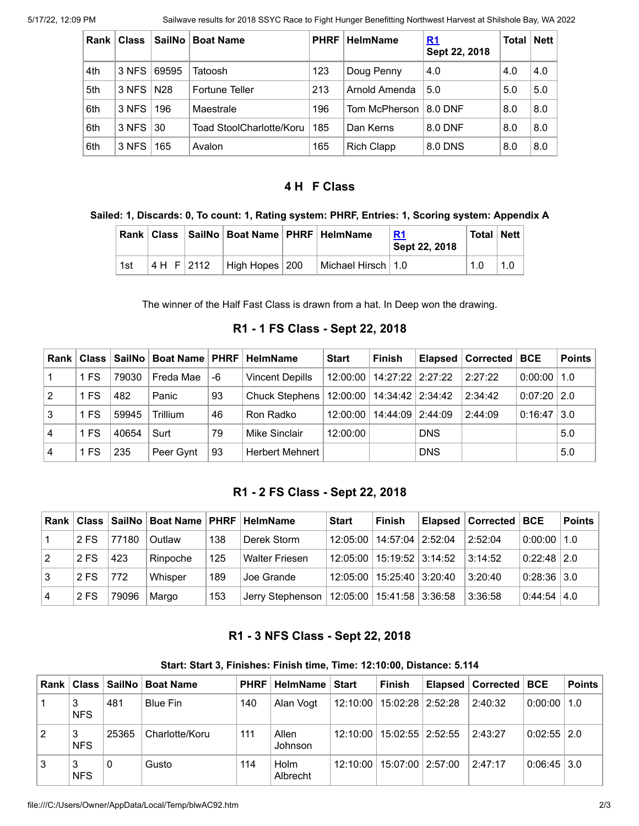| Rank | <b>Class</b>    | SailNo | <b>Boat Name</b>         | <b>PHRF</b> | <b>HelmName</b>   | <u>R1</u><br>Sept 22, 2018 | Total | <b>Nett</b> |
|------|-----------------|--------|--------------------------|-------------|-------------------|----------------------------|-------|-------------|
| 4th  | 3 NFS           | 69595  | Tatoosh                  | 123         | Doug Penny        | 4.0                        | 4.0   | 4.0         |
| 5th  | 3 NFS   N28     |        | Fortune Teller           | 213         | Arnold Amenda     | 5.0                        | 5.0   | 5.0         |
| 6th  | $3$ NFS $\vert$ | 196    | Maestrale                | 196         | Tom McPherson     | 8.0 DNF                    | 8.0   | 8.0         |
| 6th  | $3$ NFS $\vert$ | -30    | Toad StoolCharlotte/Koru | 185         | Dan Kerns         | 8.0 DNF                    | 8.0   | 8.0         |
| 6th  | 3 NFS           | 165    | Avalon                   | 165         | <b>Rich Clapp</b> | 8.0 DNS                    | 8.0   | 8.0         |

## **4 H F Class**

#### <span id="page-1-0"></span>**Sailed: 1, Discards: 0, To count: 1, Rating system: PHRF, Entries: 1, Scoring system: Appendix A**

|     |            | Rank   Class   SailNo   Boat Name   PHRF   HelmName |                                     | R <sub>1</sub><br>Sept 22, 2018 | <b>Total   Nett  </b> |  |
|-----|------------|-----------------------------------------------------|-------------------------------------|---------------------------------|-----------------------|--|
| 1st | 4 H F 2112 | High Hopes 200                                      | <sup>⊦</sup> Michael Hirsch ∣ 1.0 ∣ |                                 | 1.0                   |  |

The winner of the Half Fast Class is drawn from a hat. In Deep won the drawing.

**R1 - 1 FS Class - Sept 22, 2018**

<span id="page-1-1"></span>

| Rank l         |      |       | Class   SailNo   Boat Name   PHRF   HelmName |    |                        | <b>Start</b> | <b>Finish</b>                 |            | Elapsed   Corrected | BCE             | <b>Points</b> |
|----------------|------|-------|----------------------------------------------|----|------------------------|--------------|-------------------------------|------------|---------------------|-----------------|---------------|
|                | 1 FS | 79030 | Freda Mae                                    | -6 | <b>Vincent Depills</b> |              | 12:00:00   14:27:22   2:27:22 |            | 2:27:22             | $0:00:00$   1.0 |               |
| 2              | 1 FS | 482   | Panic                                        | 93 | Chuck Stephens         |              | 12:00:00   14:34:42   2:34:42 |            | 2:34:42             | $0.07:20$ 2.0   |               |
| 3              | 1 FS | 59945 | Trillium                                     | 46 | Ron Radko              | 12:00:00     | 14:44:09   2:44:09            |            | 2:44:09             | $0:16:47$ 3.0   |               |
| $\overline{4}$ | 1 FS | 40654 | Surt                                         | 79 | Mike Sinclair          | 12:00:00     |                               | <b>DNS</b> |                     |                 | 5.0           |
| $\overline{4}$ | 1 FS | 235   | Peer Gynt                                    | 93 | <b>Herbert Mehnert</b> |              |                               | <b>DNS</b> |                     |                 | 5.0           |

## **R1 - 2 FS Class - Sept 22, 2018**

<span id="page-1-2"></span>

| <b>Rank</b>    |      |       | Class   SailNo   Boat Name   PHRF   HelmName |     |                       | <b>Start</b> | <b>Finish</b>                 | Elapsed   Corrected   BCE |                    | <b>Points</b> |
|----------------|------|-------|----------------------------------------------|-----|-----------------------|--------------|-------------------------------|---------------------------|--------------------|---------------|
|                | 2 FS | 77180 | Outlaw                                       | 138 | Derek Storm           | 12:05:00     | 14:57:04 2:52:04              | 2:52:04                   | $0.00000$   1.0    |               |
| $\overline{2}$ | 2 FS | 423   | Rinpoche                                     | 125 | <b>Walter Friesen</b> | 12:05:00     | 15:19:52 3:14:52              | 3:14:52                   | $0.22:48$ 2.0      |               |
| l 3            | 2 FS | 772   | Whisper                                      | 189 | Joe Grande            | 12:05:00     | 15:25:40 3:20:40              | 3:20:40                   | $0:28:36$ 3.0      |               |
| 4              | 2 FS | 79096 | Margo                                        | 153 | Jerry Stephenson      |              | 12:05:00   15:41:58   3:36:58 | 3:36:58                   | $0.44:54 \mid 4.0$ |               |

## **R1 - 3 NFS Class - Sept 22, 2018**

#### **Start: Start 3, Finishes: Finish time, Time: 12:10:00, Distance: 5.114**

<span id="page-1-3"></span>

| Rank |                 | Class   SailNo | <b>Boat Name</b> | <b>PHRF</b> | . HelmName ∣ Start |          | Finish                        | Elapsed   Corrected   BCE |                 | <b>Points</b> |
|------|-----------------|----------------|------------------|-------------|--------------------|----------|-------------------------------|---------------------------|-----------------|---------------|
|      | 3<br><b>NFS</b> | 481            | Blue Fin         | 140         | Alan Voqt          |          | 12:10:00   15:02:28   2:52:28 | 2:40:32                   | $0:00:00$   1.0 |               |
|      | 3<br><b>NFS</b> | 25365          | Charlotte/Koru   | 111         | Allen<br>Johnson   | 12:10:00 | $15:02:55$   2:52:55          | 2:43:27                   | $0:02:55$   2.0 |               |
| 3    | 3<br><b>NFS</b> |                | Gusto            | 114         | Holm<br>Albrecht   | 12:10:00 | 15:07:00   2:57:00            | 2:47:17                   | $0.06:45$ 3.0   |               |